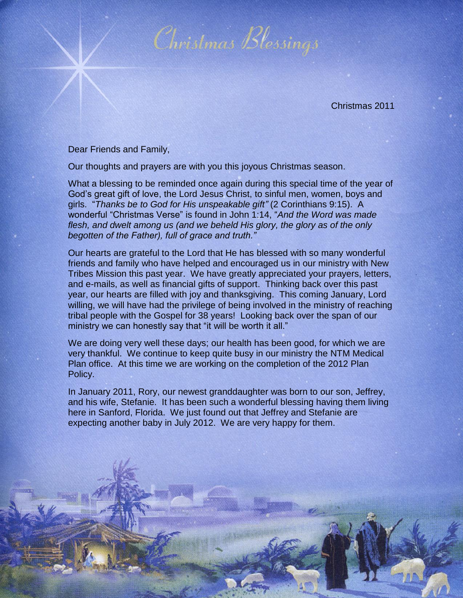

Christmas 2011

Dear Friends and Family,

Our thoughts and prayers are with you this joyous Christmas season.

What a blessing to be reminded once again during this special time of the year of God's great gift of love, the Lord Jesus Christ, to sinful men, women, boys and girls. "*Thanks be to God for His unspeakable gift"* (2 Corinthians 9:15). A wonderful "Christmas Verse" is found in John 1:14, "*And the Word was made flesh, and dwelt among us (and we beheld His glory, the glory as of the only begotten of the Father), full of grace and truth."*

Our hearts are grateful to the Lord that He has blessed with so many wonderful friends and family who have helped and encouraged us in our ministry with New Tribes Mission this past year. We have greatly appreciated your prayers, letters, and e-mails, as well as financial gifts of support. Thinking back over this past year, our hearts are filled with joy and thanksgiving. This coming January, Lord willing, we will have had the privilege of being involved in the ministry of reaching tribal people with the Gospel for 38 years! Looking back over the span of our ministry we can honestly say that "it will be worth it all."

We are doing very well these days; our health has been good, for which we are very thankful. We continue to keep quite busy in our ministry the NTM Medical Plan office. At this time we are working on the completion of the 2012 Plan Policy.

In January 2011, Rory, our newest granddaughter was born to our son, Jeffrey, and his wife, Stefanie. It has been such a wonderful blessing having them living here in Sanford, Florida. We just found out that Jeffrey and Stefanie are expecting another baby in July 2012. We are very happy for them.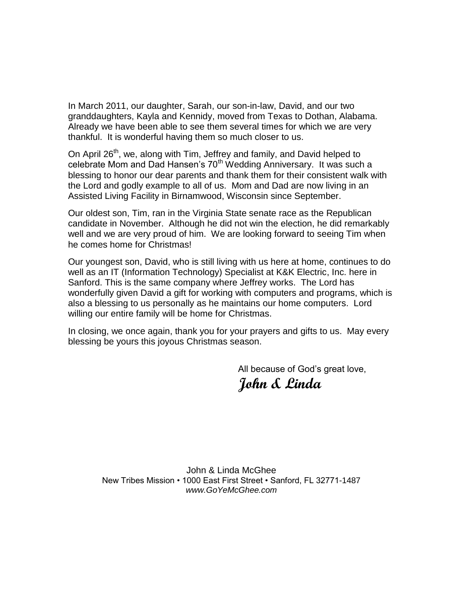In March 2011, our daughter, Sarah, our son-in-law, David, and our two granddaughters, Kayla and Kennidy, moved from Texas to Dothan, Alabama. Already we have been able to see them several times for which we are very thankful. It is wonderful having them so much closer to us.

On April 26<sup>th</sup>, we, along with Tim, Jeffrey and family, and David helped to celebrate Mom and Dad Hansen's 70<sup>th</sup> Wedding Anniversary. It was such a blessing to honor our dear parents and thank them for their consistent walk with the Lord and godly example to all of us. Mom and Dad are now living in an Assisted Living Facility in Birnamwood, Wisconsin since September.

Our oldest son, Tim, ran in the Virginia State senate race as the Republican candidate in November. Although he did not win the election, he did remarkably well and we are very proud of him. We are looking forward to seeing Tim when he comes home for Christmas!

Our youngest son, David, who is still living with us here at home, continues to do well as an IT (Information Technology) Specialist at K&K Electric, Inc. here in Sanford. This is the same company where Jeffrey works. The Lord has wonderfully given David a gift for working with computers and programs, which is also a blessing to us personally as he maintains our home computers. Lord willing our entire family will be home for Christmas.

In closing, we once again, thank you for your prayers and gifts to us. May every blessing be yours this joyous Christmas season.

> All because of God's great love, **John & Linda**

John & Linda McGhee New Tribes Mission • 1000 East First Street • Sanford, FL 32771-1487 *www.GoYeMcGhee.com*